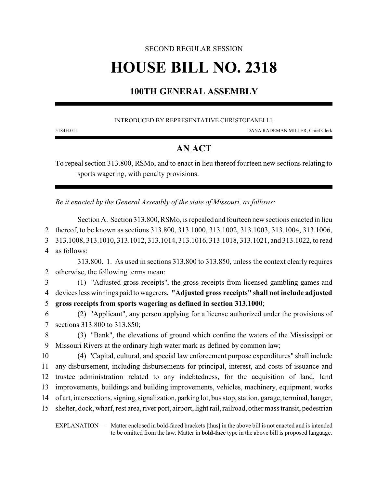## SECOND REGULAR SESSION

# **HOUSE BILL NO. 2318**

## **100TH GENERAL ASSEMBLY**

### INTRODUCED BY REPRESENTATIVE CHRISTOFANELLI.

5184H.01I DANA RADEMAN MILLER, Chief Clerk

## **AN ACT**

To repeal section 313.800, RSMo, and to enact in lieu thereof fourteen new sections relating to sports wagering, with penalty provisions.

*Be it enacted by the General Assembly of the state of Missouri, as follows:*

Section A. Section 313.800, RSMo, is repealed and fourteen new sections enacted in lieu thereof, to be known as sections 313.800, 313.1000, 313.1002, 313.1003, 313.1004, 313.1006, 313.1008, 313.1010, 313.1012, 313.1014, 313.1016, 313.1018, 313.1021, and 313.1022, to read as follows: 313.800. 1. As used in sections 313.800 to 313.850, unless the context clearly requires otherwise, the following terms mean: (1) "Adjusted gross receipts", the gross receipts from licensed gambling games and devices less winnings paid to wagerers**. "Adjusted gross receipts" shall not include adjusted gross receipts from sports wagering as defined in section 313.1000**; (2) "Applicant", any person applying for a license authorized under the provisions of sections 313.800 to 313.850; (3) "Bank", the elevations of ground which confine the waters of the Mississippi or Missouri Rivers at the ordinary high water mark as defined by common law; (4) "Capital, cultural, and special law enforcement purpose expenditures" shall include

 any disbursement, including disbursements for principal, interest, and costs of issuance and trustee administration related to any indebtedness, for the acquisition of land, land improvements, buildings and building improvements, vehicles, machinery, equipment, works of art, intersections, signing,signalization, parking lot, bus stop, station, garage, terminal, hanger, shelter, dock, wharf, rest area, river port, airport, light rail, railroad, other mass transit, pedestrian

EXPLANATION — Matter enclosed in bold-faced brackets **[**thus**]** in the above bill is not enacted and is intended to be omitted from the law. Matter in **bold-face** type in the above bill is proposed language.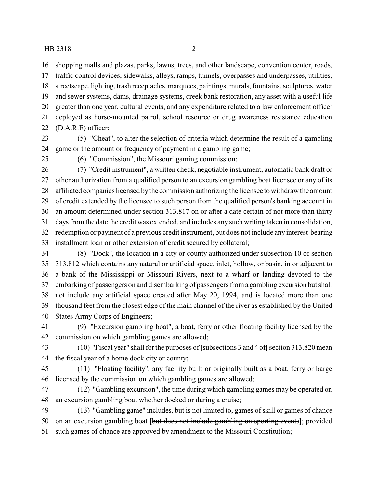shopping malls and plazas, parks, lawns, trees, and other landscape, convention center, roads, traffic control devices, sidewalks, alleys, ramps, tunnels, overpasses and underpasses, utilities, streetscape, lighting, trash receptacles, marquees, paintings, murals, fountains, sculptures, water and sewer systems, dams, drainage systems, creek bank restoration, any asset with a useful life greater than one year, cultural events, and any expenditure related to a law enforcement officer deployed as horse-mounted patrol, school resource or drug awareness resistance education (D.A.R.E) officer;

- (5) "Cheat", to alter the selection of criteria which determine the result of a gambling game or the amount or frequency of payment in a gambling game;
- 

(6) "Commission", the Missouri gaming commission;

 (7) "Credit instrument", a written check, negotiable instrument, automatic bank draft or other authorization from a qualified person to an excursion gambling boat licensee or any of its affiliated companies licensed bythe commission authorizing the licensee to withdraw the amount of credit extended by the licensee to such person from the qualified person's banking account in an amount determined under section 313.817 on or after a date certain of not more than thirty days from the date the credit was extended, and includes any such writing taken in consolidation, redemption or payment of a previous credit instrument, but does not include any interest-bearing installment loan or other extension of credit secured by collateral;

 (8) "Dock", the location in a city or county authorized under subsection 10 of section 313.812 which contains any natural or artificial space, inlet, hollow, or basin, in or adjacent to a bank of the Mississippi or Missouri Rivers, next to a wharf or landing devoted to the embarking of passengers on and disembarking of passengers from a gambling excursion but shall not include any artificial space created after May 20, 1994, and is located more than one thousand feet from the closest edge of the main channel of the river as established by the United States Army Corps of Engineers;

 (9) "Excursion gambling boat", a boat, ferry or other floating facility licensed by the commission on which gambling games are allowed;

 (10) "Fiscal year" shall for the purposes of **[**subsections 3 and 4 of**]**section 313.820 mean the fiscal year of a home dock city or county;

 (11) "Floating facility", any facility built or originally built as a boat, ferry or barge licensed by the commission on which gambling games are allowed;

 (12) "Gambling excursion", the time during which gambling games may be operated on an excursion gambling boat whether docked or during a cruise;

 (13) "Gambling game" includes, but is not limited to, games of skill or games of chance on an excursion gambling boat **[**but does not include gambling on sporting events**]**; provided such games of chance are approved by amendment to the Missouri Constitution;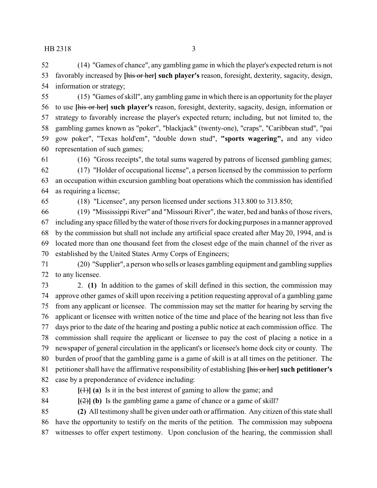(14) "Games of chance", any gambling game in which the player's expected return is not favorably increased by **[**his or her**] such player's** reason, foresight, dexterity, sagacity, design, information or strategy;

 (15) "Games of skill", any gambling game in which there is an opportunity for the player to use **[**his or her**] such player's** reason, foresight, dexterity, sagacity, design, information or strategy to favorably increase the player's expected return; including, but not limited to, the gambling games known as "poker", "blackjack" (twenty-one), "craps", "Caribbean stud", "pai gow poker", "Texas hold'em", "double down stud", **"sports wagering",** and any video representation of such games;

(16) "Gross receipts", the total sums wagered by patrons of licensed gambling games;

 (17) "Holder of occupational license", a person licensed by the commission to perform an occupation within excursion gambling boat operations which the commission has identified as requiring a license;

(18) "Licensee", any person licensed under sections 313.800 to 313.850;

 (19) "Mississippi River" and "Missouri River", the water, bed and banks of those rivers, including any space filled by the water of those rivers for docking purposes in amanner approved by the commission but shall not include any artificial space created after May 20, 1994, and is located more than one thousand feet from the closest edge of the main channel of the river as established by the United States Army Corps of Engineers;

 (20) "Supplier", a person who sells or leases gambling equipment and gambling supplies to any licensee.

 2. **(1)** In addition to the games of skill defined in this section, the commission may approve other games of skill upon receiving a petition requesting approval of a gambling game from any applicant or licensee. The commission may set the matter for hearing by serving the applicant or licensee with written notice of the time and place of the hearing not less than five days prior to the date of the hearing and posting a public notice at each commission office. The commission shall require the applicant or licensee to pay the cost of placing a notice in a newspaper of general circulation in the applicant's or licensee's home dock city or county. The burden of proof that the gambling game is a game of skill is at all times on the petitioner. The petitioner shall have the affirmative responsibility of establishing **[**his or her**] such petitioner's** case by a preponderance of evidence including:

83  $[(1)] (a)$  Is it in the best interest of gaming to allow the game; and

84  $[(2)]$  (b) Is the gambling game a game of chance or a game of skill?

 **(2)** All testimony shall be given under oath or affirmation. Any citizen of this state shall have the opportunity to testify on the merits of the petition. The commission may subpoena witnesses to offer expert testimony. Upon conclusion of the hearing, the commission shall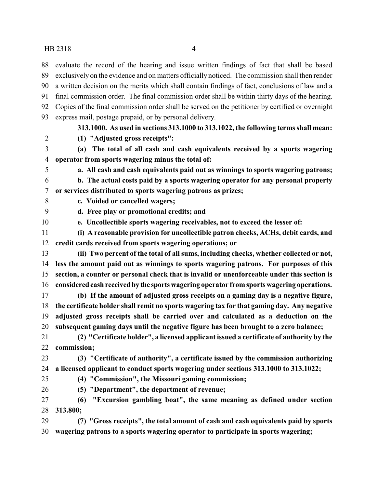evaluate the record of the hearing and issue written findings of fact that shall be based exclusively on the evidence and on matters officially noticed. The commission shall then render a written decision on the merits which shall contain findings of fact, conclusions of law and a

- final commission order. The final commission order shall be within thirty days of the hearing. Copies of the final commission order shall be served on the petitioner by certified or overnight
- express mail, postage prepaid, or by personal delivery.
- 

## **313.1000. As used in sections 313.1000 to 313.1022, the following terms shall mean:**

- **(1) "Adjusted gross receipts":**
- **(a) The total of all cash and cash equivalents received by a sports wagering operator from sports wagering minus the total of:**
- 

**a. All cash and cash equivalents paid out as winnings to sports wagering patrons;**

- **b. The actual costs paid by a sports wagering operator for any personal property or services distributed to sports wagering patrons as prizes;**
- - **c. Voided or cancelled wagers;**

**d. Free play or promotional credits; and**

- **e. Uncollectible sports wagering receivables, not to exceed the lesser of:**
- **(i) A reasonable provision for uncollectible patron checks, ACHs, debit cards, and credit cards received from sports wagering operations; or**
- **(ii) Two percent of the total of all sums, including checks, whether collected or not, less the amount paid out as winnings to sports wagering patrons. For purposes of this section, a counter or personal check that is invalid or unenforceable under this section is considered cashreceivedby the sportswagering operator fromsports wagering operations.**
- **(b) If the amount of adjusted gross receipts on a gaming day is a negative figure, the certificate holder shall remit no sports wagering tax for that gaming day. Any negative adjusted gross receipts shall be carried over and calculated as a deduction on the subsequent gaming days until the negative figure has been brought to a zero balance;**
- **(2) "Certificate holder", a licensed applicant issued a certificate of authority by the commission;**

 **(3) "Certificate of authority", a certificate issued by the commission authorizing a licensed applicant to conduct sports wagering under sections 313.1000 to 313.1022;**

- 
- **(4) "Commission", the Missouri gaming commission;**
- **(5) "Department", the department of revenue;**
- **(6) "Excursion gambling boat", the same meaning as defined under section 313.800;**
- **(7) "Gross receipts", the total amount of cash and cash equivalents paid by sports wagering patrons to a sports wagering operator to participate in sports wagering;**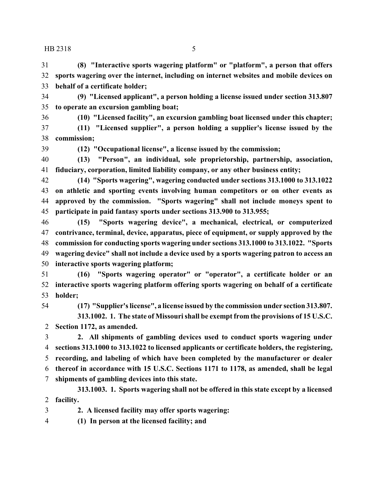**(8) "Interactive sports wagering platform" or "platform", a person that offers sports wagering over the internet, including on internet websites and mobile devices on behalf of a certificate holder;**

 **(9) "Licensed applicant", a person holding a license issued under section 313.807 to operate an excursion gambling boat;**

**(10) "Licensed facility", an excursion gambling boat licensed under this chapter;**

 **(11) "Licensed supplier", a person holding a supplier's license issued by the commission;**

**(12) "Occupational license", a license issued by the commission;**

 **(13) "Person", an individual, sole proprietorship, partnership, association, fiduciary, corporation, limited liability company, or any other business entity;**

 **(14) "Sports wagering", wagering conducted under sections 313.1000 to 313.1022 on athletic and sporting events involving human competitors or on other events as approved by the commission. "Sports wagering" shall not include moneys spent to participate in paid fantasy sports under sections 313.900 to 313.955;**

 **(15) "Sports wagering device", a mechanical, electrical, or computerized contrivance, terminal, device, apparatus, piece of equipment, or supply approved by the commission for conducting sports wagering under sections 313.1000 to 313.1022. "Sports wagering device" shall not include a device used by a sports wagering patron to access an interactive sports wagering platform;**

 **(16) "Sports wagering operator" or "operator", a certificate holder or an interactive sports wagering platform offering sports wagering on behalf of a certificate holder;**

**(17) "Supplier's license", a license issued by the commission under section 313.807.**

**313.1002. 1. The state of Missouri shall be exempt from the provisions of 15 U.S.C. Section 1172, as amended.**

 **2. All shipments of gambling devices used to conduct sports wagering under sections 313.1000 to 313.1022 to licensed applicants or certificate holders, the registering, recording, and labeling of which have been completed by the manufacturer or dealer thereof in accordance with 15 U.S.C. Sections 1171 to 1178, as amended, shall be legal shipments of gambling devices into this state.**

**313.1003. 1. Sports wagering shall not be offered in this state except by a licensed facility.**

**2. A licensed facility may offer sports wagering:**

**(1) In person at the licensed facility; and**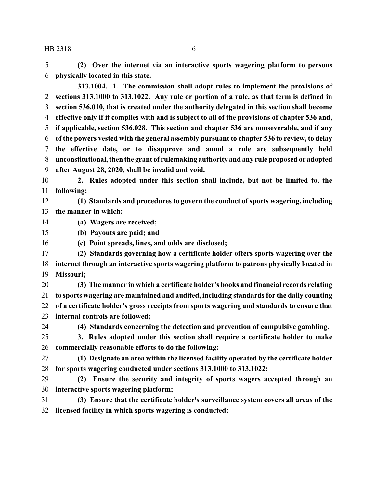**(2) Over the internet via an interactive sports wagering platform to persons physically located in this state.**

**313.1004. 1. The commission shall adopt rules to implement the provisions of sections 313.1000 to 313.1022. Any rule or portion of a rule, as that term is defined in section 536.010, that is created under the authority delegated in this section shall become effective only if it complies with and is subject to all of the provisions of chapter 536 and, if applicable, section 536.028. This section and chapter 536 are nonseverable, and if any of the powers vested with the general assembly pursuant to chapter 536 to review, to delay the effective date, or to disapprove and annul a rule are subsequently held unconstitutional, then the grant of rulemaking authority and any rule proposed or adopted after August 28, 2020, shall be invalid and void.**

 **2. Rules adopted under this section shall include, but not be limited to, the following:**

 **(1) Standards and procedures to govern the conduct of sports wagering, including the manner in which:**

- **(a) Wagers are received;**
- **(b) Payouts are paid; and**
- **(c) Point spreads, lines, and odds are disclosed;**

 **(2) Standards governing how a certificate holder offers sports wagering over the internet through an interactive sports wagering platform to patrons physically located in Missouri;**

 **(3) The manner in which a certificate holder's books and financial records relating to sports wagering are maintained and audited, including standards for the daily counting of a certificate holder's gross receipts from sports wagering and standards to ensure that internal controls are followed;**

**(4) Standards concerning the detection and prevention of compulsive gambling.**

- **3. Rules adopted under this section shall require a certificate holder to make commercially reasonable efforts to do the following:**
- **(1) Designate an area within the licensed facility operated by the certificate holder for sports wagering conducted under sections 313.1000 to 313.1022;**
- **(2) Ensure the security and integrity of sports wagers accepted through an interactive sports wagering platform;**
- **(3) Ensure that the certificate holder's surveillance system covers all areas of the licensed facility in which sports wagering is conducted;**
- 
-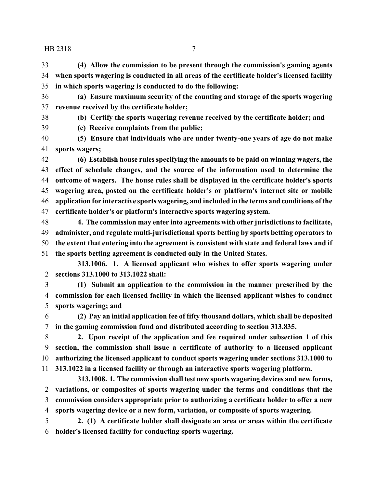**(4) Allow the commission to be present through the commission's gaming agents when sports wagering is conducted in all areas of the certificate holder's licensed facility in which sports wagering is conducted to do the following:**

 **(a) Ensure maximum security of the counting and storage of the sports wagering revenue received by the certificate holder;**

**(b) Certify the sports wagering revenue received by the certificate holder; and**

**(c) Receive complaints from the public;**

 **(5) Ensure that individuals who are under twenty-one years of age do not make sports wagers;**

 **(6) Establish house rules specifying the amounts to be paid on winning wagers, the effect of schedule changes, and the source of the information used to determine the outcome of wagers. The house rules shall be displayed in the certificate holder's sports wagering area, posted on the certificate holder's or platform's internet site or mobile application for interactive sports wagering, and included in the terms and conditions ofthe certificate holder's or platform's interactive sports wagering system.**

 **4. The commission may enter into agreements with other jurisdictions to facilitate, administer, and regulate multi-jurisdictional sports betting by sports betting operators to the extent that entering into the agreement is consistent with state and federal laws and if**

**the sports betting agreement is conducted only in the United States.**

**313.1006. 1. A licensed applicant who wishes to offer sports wagering under sections 313.1000 to 313.1022 shall:**

 **(1) Submit an application to the commission in the manner prescribed by the commission for each licensed facility in which the licensed applicant wishes to conduct sports wagering; and**

 **(2) Pay an initial application fee of fifty thousand dollars, which shall be deposited in the gaming commission fund and distributed according to section 313.835.**

 **2. Upon receipt of the application and fee required under subsection 1 of this section, the commission shall issue a certificate of authority to a licensed applicant authorizing the licensed applicant to conduct sports wagering under sections 313.1000 to 313.1022 in a licensed facility or through an interactive sports wagering platform.**

**313.1008. 1. The commission shall test new sports wagering devices and new forms, variations, or composites of sports wagering under the terms and conditions that the commission considers appropriate prior to authorizing a certificate holder to offer a new sports wagering device or a new form, variation, or composite of sports wagering.**

 **2. (1) A certificate holder shall designate an area or areas within the certificate holder's licensed facility for conducting sports wagering.**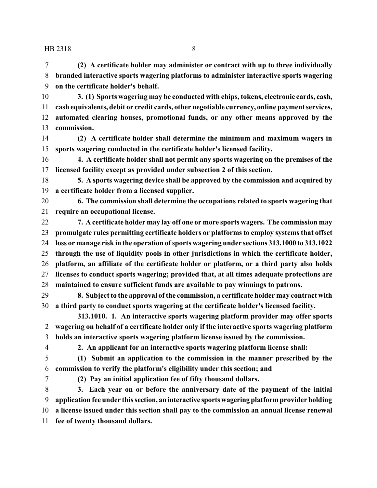**(2) A certificate holder may administer or contract with up to three individually branded interactive sports wagering platforms to administer interactive sports wagering on the certificate holder's behalf.**

 **3. (1) Sports wagering may be conducted with chips, tokens, electronic cards, cash, cash equivalents, debit or credit cards, other negotiable currency, online payment services, automated clearing houses, promotional funds, or any other means approved by the commission.**

 **(2) A certificate holder shall determine the minimum and maximum wagers in sports wagering conducted in the certificate holder's licensed facility.**

 **4. A certificate holder shall not permit any sports wagering on the premises of the licensed facility except as provided under subsection 2 of this section.**

 **5. A sports wagering device shall be approved by the commission and acquired by a certificate holder from a licensed supplier.**

 **6. The commission shall determine the occupations related to sports wagering that require an occupational license.**

 **7. A certificate holder may lay off one or more sports wagers. The commission may promulgate rules permitting certificate holders or platforms to employ systems that offset loss or manage risk in the operation ofsports wagering under sections 313.1000 to 313.1022 through the use of liquidity pools in other jurisdictions in which the certificate holder, platform, an affiliate of the certificate holder or platform, or a third party also holds licenses to conduct sports wagering; provided that, at all times adequate protections are maintained to ensure sufficient funds are available to pay winnings to patrons.**

 **8. Subject to the approval of the commission, a certificate holder may contract with a third party to conduct sports wagering at the certificate holder's licensed facility.**

**313.1010. 1. An interactive sports wagering platform provider may offer sports wagering on behalf of a certificate holder only if the interactive sports wagering platform holds an interactive sports wagering platform license issued by the commission.**

**2. An applicant for an interactive sports wagering platform license shall:**

 **(1) Submit an application to the commission in the manner prescribed by the commission to verify the platform's eligibility under this section; and**

**(2) Pay an initial application fee of fifty thousand dollars.**

 **3. Each year on or before the anniversary date of the payment of the initial application fee under this section, an interactive sportswagering platformprovider holding a license issued under this section shall pay to the commission an annual license renewal fee of twenty thousand dollars.**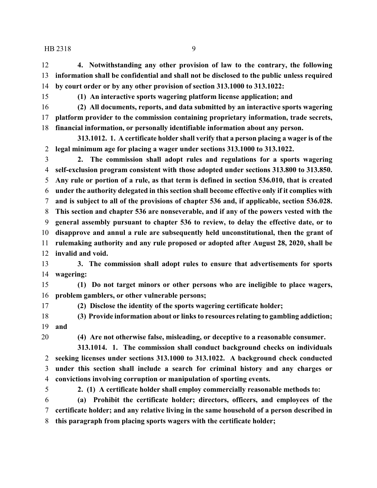**4. Notwithstanding any other provision of law to the contrary, the following information shall be confidential and shall not be disclosed to the public unless required by court order or by any other provision of section 313.1000 to 313.1022:**

**(1) An interactive sports wagering platform license application; and**

 **(2) All documents, reports, and data submitted by an interactive sports wagering platform provider to the commission containing proprietary information, trade secrets, financial information, or personally identifiable information about any person.**

**313.1012. 1. A certificate holder shall verify that a person placing a wager is of the legal minimum age for placing a wager under sections 313.1000 to 313.1022.**

 **2. The commission shall adopt rules and regulations for a sports wagering self-exclusion program consistent with those adopted under sections 313.800 to 313.850. Any rule or portion of a rule, as that term is defined in section 536.010, that is created under the authority delegated in this section shall become effective only if it complies with and is subject to all of the provisions of chapter 536 and, if applicable, section 536.028. This section and chapter 536 are nonseverable, and if any of the powers vested with the general assembly pursuant to chapter 536 to review, to delay the effective date, or to disapprove and annul a rule are subsequently held unconstitutional, then the grant of rulemaking authority and any rule proposed or adopted after August 28, 2020, shall be invalid and void.**

 **3. The commission shall adopt rules to ensure that advertisements for sports wagering:**

 **(1) Do not target minors or other persons who are ineligible to place wagers, problem gamblers, or other vulnerable persons;**

**(2) Disclose the identity of the sports wagering certificate holder;**

 **(3) Provide information about or links to resources relating to gambling addiction; and**

**(4) Are not otherwise false, misleading, or deceptive to a reasonable consumer.**

**313.1014. 1. The commission shall conduct background checks on individuals seeking licenses under sections 313.1000 to 313.1022. A background check conducted under this section shall include a search for criminal history and any charges or convictions involving corruption or manipulation of sporting events.**

**2. (1) A certificate holder shall employ commercially reasonable methods to:**

 **(a) Prohibit the certificate holder; directors, officers, and employees of the certificate holder; and any relative living in the same household of a person described in this paragraph from placing sports wagers with the certificate holder;**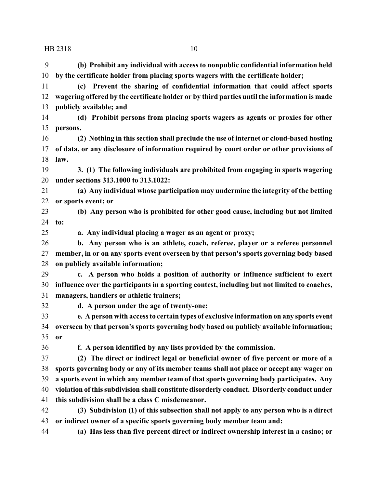**(b) Prohibit any individual with access to nonpublic confidential information held by the certificate holder from placing sports wagers with the certificate holder; (c) Prevent the sharing of confidential information that could affect sports**

 **wagering offered by the certificate holder or by third parties until the information is made publicly available; and**

 **(d) Prohibit persons from placing sports wagers as agents or proxies for other persons.**

 **(2) Nothing in this section shall preclude the use of internet or cloud-based hosting of data, or any disclosure of information required by court order or other provisions of law.**

 **3. (1) The following individuals are prohibited from engaging in sports wagering under sections 313.1000 to 313.1022:**

 **(a) Any individual whose participation may undermine the integrity of the betting or sports event; or**

 **(b) Any person who is prohibited for other good cause, including but not limited to:**

**a. Any individual placing a wager as an agent or proxy;**

 **b. Any person who is an athlete, coach, referee, player or a referee personnel member, in or on any sports event overseen by that person's sports governing body based on publicly available information;**

 **c. A person who holds a position of authority or influence sufficient to exert influence over the participants in a sporting contest, including but not limited to coaches, managers, handlers or athletic trainers;**

**d. A person under the age of twenty-one;**

 **e. A person with access to certain types of exclusive information on any sports event overseen by that person's sports governing body based on publicly available information; or**

**f. A person identified by any lists provided by the commission.**

 **(2) The direct or indirect legal or beneficial owner of five percent or more of a sports governing body or any of its member teams shall not place or accept any wager on a sports event in which any member team of that sports governing body participates. Any violation of this subdivision shall constitute disorderly conduct. Disorderly conduct under this subdivision shall be a class C misdemeanor.**

 **(3) Subdivision (1) of this subsection shall not apply to any person who is a direct or indirect owner of a specific sports governing body member team and:**

**(a) Has less than five percent direct or indirect ownership interest in a casino; or**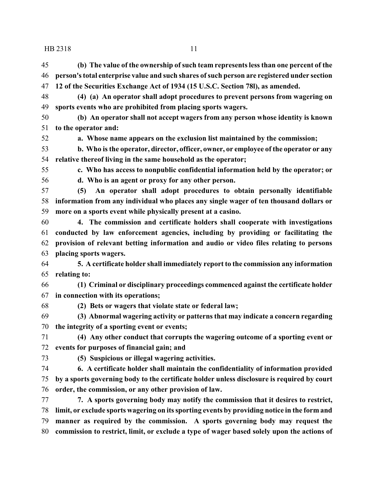**(b) The value of the ownership of such team represents less than one percent of the person's total enterprise value and such shares ofsuch person are registered under section**

**12 of the Securities Exchange Act of 1934 (15 U.S.C. Section 78l), as amended.**

 **(4) (a) An operator shall adopt procedures to prevent persons from wagering on sports events who are prohibited from placing sports wagers. (b) An operator shall not accept wagers from any person whose identity is known to the operator and: a. Whose name appears on the exclusion list maintained by the commission; b. Who is the operator, director, officer, owner, or employee of the operator or any relative thereof living in the same household as the operator; c. Who has access to nonpublic confidential information held by the operator; or d. Who is an agent or proxy for any other person. (5) An operator shall adopt procedures to obtain personally identifiable information from any individual who places any single wager of ten thousand dollars or more on a sports event while physically present at a casino. 4. The commission and certificate holders shall cooperate with investigations conducted by law enforcement agencies, including by providing or facilitating the provision of relevant betting information and audio or video files relating to persons placing sports wagers. 5. A certificate holder shall immediately report to the commission any information relating to: (1) Criminal or disciplinary proceedings commenced against the certificate holder in connection with its operations; (2) Bets or wagers that violate state or federal law; (3) Abnormal wagering activity or patterns that may indicate a concern regarding the integrity of a sporting event or events; (4) Any other conduct that corrupts the wagering outcome of a sporting event or events for purposes of financial gain; and**

**(5) Suspicious or illegal wagering activities.**

 **6. A certificate holder shall maintain the confidentiality of information provided by a sports governing body to the certificate holder unless disclosure is required by court order, the commission, or any other provision of law.**

 **7. A sports governing body may notify the commission that it desires to restrict, limit, or exclude sports wagering on its sporting events by providing notice in the form and manner as required by the commission. A sports governing body may request the commission to restrict, limit, or exclude a type of wager based solely upon the actions of**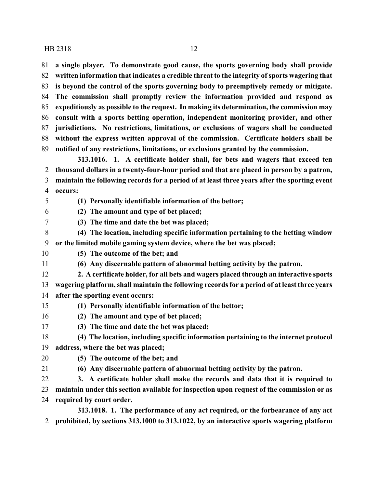**a single player. To demonstrate good cause, the sports governing body shall provide written information that indicates a credible threat to the integrity ofsports wagering that is beyond the control of the sports governing body to preemptively remedy or mitigate. The commission shall promptly review the information provided and respond as expeditiously as possible to the request. In making its determination, the commission may consult with a sports betting operation, independent monitoring provider, and other jurisdictions. No restrictions, limitations, or exclusions of wagers shall be conducted without the express written approval of the commission. Certificate holders shall be notified of any restrictions, limitations, or exclusions granted by the commission.**

**313.1016. 1. A certificate holder shall, for bets and wagers that exceed ten thousand dollars in a twenty-four-hour period and that are placed in person by a patron, maintain the following records for a period of at least three years after the sporting event occurs:**

**(1) Personally identifiable information of the bettor;**

**(2) The amount and type of bet placed;**

**(3) The time and date the bet was placed;**

- **(4) The location, including specific information pertaining to the betting window or the limited mobile gaming system device, where the bet was placed;**
- **(5) The outcome of the bet; and**

**(6) Any discernable pattern of abnormal betting activity by the patron.**

- **2. A certificate holder, for all bets and wagers placed through an interactive sports**
- **wagering platform, shall maintain the following records for a period of at least three years after the sporting event occurs:**
- **(1) Personally identifiable information of the bettor;**
- **(2) The amount and type of bet placed;**
- **(3) The time and date the bet was placed;**

 **(4) The location, including specific information pertaining to the internet protocol address, where the bet was placed;**

- **(5) The outcome of the bet; and**
- **(6) Any discernable pattern of abnormal betting activity by the patron.**
- **3. A certificate holder shall make the records and data that it is required to**

**maintain under this section available for inspection upon request of the commission or as**

**required by court order.**

**313.1018. 1. The performance of any act required, or the forbearance of any act prohibited, by sections 313.1000 to 313.1022, by an interactive sports wagering platform**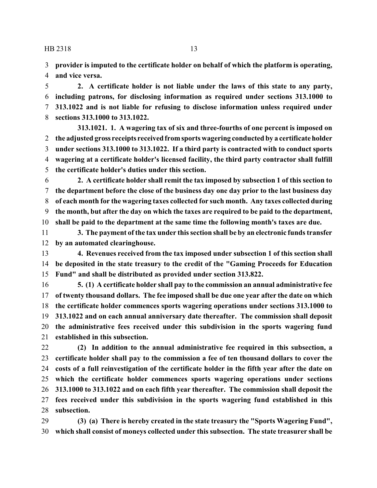**provider is imputed to the certificate holder on behalf of which the platform is operating, and vice versa.**

 **2. A certificate holder is not liable under the laws of this state to any party, including patrons, for disclosing information as required under sections 313.1000 to 313.1022 and is not liable for refusing to disclose information unless required under sections 313.1000 to 313.1022.**

**313.1021. 1. A wagering tax of six and three-fourths of one percent is imposed on the adjusted gross receipts received fromsports wagering conducted by a certificate holder under sections 313.1000 to 313.1022. If a third party is contracted with to conduct sports wagering at a certificate holder's licensed facility, the third party contractor shall fulfill the certificate holder's duties under this section.**

 **2. A certificate holder shall remit the tax imposed by subsection 1 of this section to the department before the close of the business day one day prior to the last business day of each month for the wagering taxes collected for such month. Any taxes collected during the month, but after the day on which the taxes are required to be paid to the department, shall be paid to the department at the same time the following month's taxes are due.**

 **3. The payment of the tax under this section shall be by an electronic funds transfer by an automated clearinghouse.**

 **4. Revenues received from the tax imposed under subsection 1 of this section shall be deposited in the state treasury to the credit of the "Gaming Proceeds for Education Fund" and shall be distributed as provided under section 313.822.**

 **5. (1) A certificate holder shall pay to the commission an annual administrative fee of twenty thousand dollars. The fee imposed shall be due one year after the date on which the certificate holder commences sports wagering operations under sections 313.1000 to 313.1022 and on each annual anniversary date thereafter. The commission shall deposit the administrative fees received under this subdivision in the sports wagering fund established in this subsection.**

 **(2) In addition to the annual administrative fee required in this subsection, a certificate holder shall pay to the commission a fee of ten thousand dollars to cover the costs of a full reinvestigation of the certificate holder in the fifth year after the date on which the certificate holder commences sports wagering operations under sections 313.1000 to 313.1022 and on each fifth year thereafter. The commission shall deposit the fees received under this subdivision in the sports wagering fund established in this subsection.**

 **(3) (a) There is hereby created in the state treasury the "Sports Wagering Fund", which shall consist of moneys collected under this subsection. The state treasurer shall be**